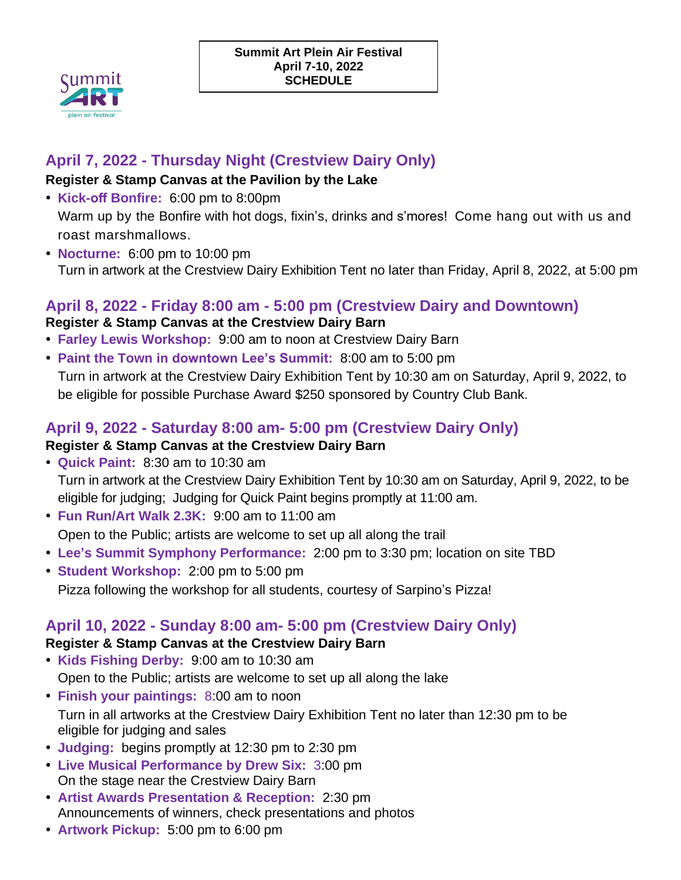

# **April 7, 2022 - Thursday Night (Crestview Dairy Only)**

#### **Register & Stamp Canvas at the Pavilion by the Lake**

- **Kick-off Bonfire:** 6:00 pm to 8:00pm Warm up by the Bonfire with hot dogs, fixin's, drinks and s'mores! Come hang out with us and roast marshmallows.
- **Nocturne:** 6:00 pm to 10:00 pm Turn in artwork at the Crestview Dairy Exhibition Tent no later than Friday, April 8, 2022, at 5:00 pm

## **April 8, 2022 - Friday 8:00 am - 5:00 pm (Crestview Dairy and Downtown)**

#### **Register & Stamp Canvas at the Crestview Dairy Barn**

- **Farley Lewis Workshop:** 9:00 am to noon at Crestview Dairy Barn
- **Paint the Town in downtown Lee's Summit:** 8:00 am to 5:00 pm Turn in artwork at the Crestview Dairy Exhibition Tent by 10:30 am on Saturday, April 9, 2022, to be eligible for possible Purchase Award \$250 sponsored by Country Club Bank.

## **April 9, 2022 - Saturday 8:00 am- 5:00 pm (Crestview Dairy Only) Register & Stamp Canvas at the Crestview Dairy Barn**

- **Quick Paint:** 8:30 am to 10:30 am Turn in artwork at the Crestview Dairy Exhibition Tent by 10:30 am on Saturday, April 9, 2022, to be eligible for judging; Judging for Quick Paint begins promptly at 11:00 am.
- **Fun Run/Art Walk 2.3K:** 9:00 am to 11:00 am Open to the Public; artists are welcome to set up all along the trail
- **Lee's Summit Symphony Performance:** 2:00 pm to 3:30 pm; location on site TBD
- **Student Workshop:** 2:00 pm to 5:00 pm Pizza following the workshop for all students, courtesy of Sarpino's Pizza!

## **April 10, 2022 - Sunday 8:00 am- 5:00 pm (Crestview Dairy Only)**

### **Register & Stamp Canvas at the Crestview Dairy Barn**

- **Kids Fishing Derby:** 9:00 am to 10:30 am Open to the Public; artists are welcome to set up all along the lake
- **Finish your paintings:** 8:00 am to noon Turn in all artworks at the Crestview Dairy Exhibition Tent no later than 12:30 pm to be eligible for judging and sales
- **Judging:** begins promptly at 12:30 pm to 2:30 pm
- **Live Musical Performance by Drew Six:** 3:00 pm On the stage near the Crestview Dairy Barn
- **Artist Awards Presentation & Reception:** 2:30 pm Announcements of winners, check presentations and photos
- **Artwork Pickup:** 5:00 pm to 6:00 pm